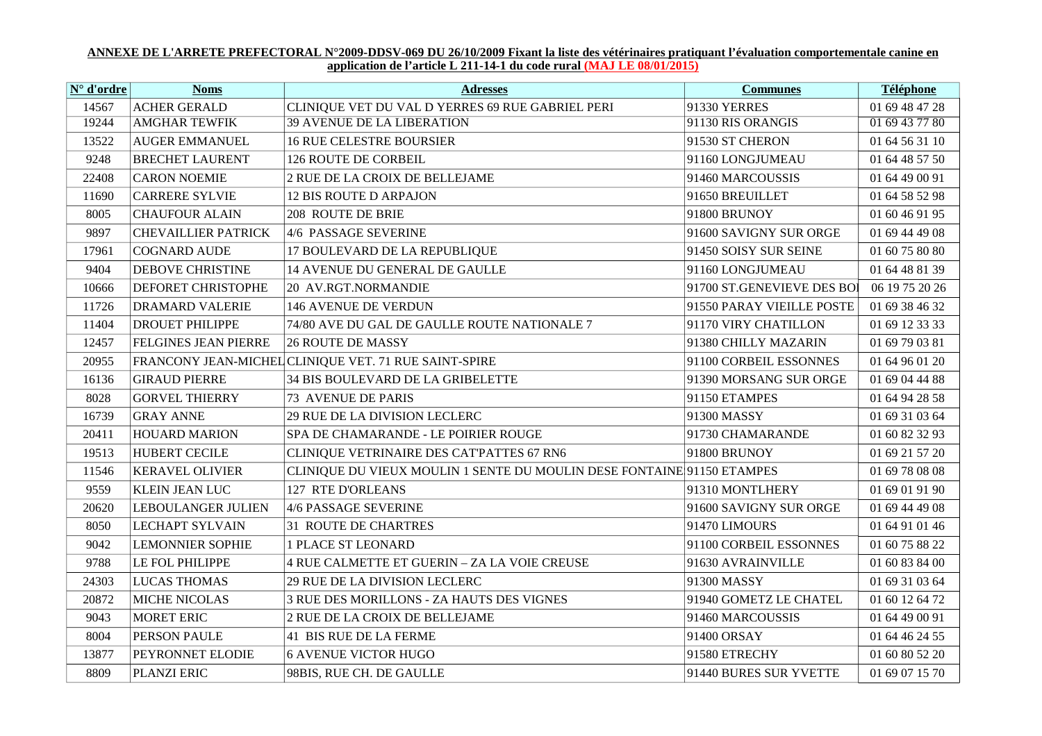## <u>ANNEXE DE L'ARRETE PREFECTORAL N°2009-DDSV-069 DU 26/10/2009 Fixant la liste des vétérinaires pratiquant l'évaluation comportementale canine en application de l'article L 211-14-1 du code rural (MAJ LE 08/01/2015)</u>

| N° d'ordre | <b>Noms</b>                 | <b>Adresses</b>                                                        | <b>Communes</b>            | Téléphone      |
|------------|-----------------------------|------------------------------------------------------------------------|----------------------------|----------------|
| 14567      | <b>ACHER GERALD</b>         | CLINIQUE VET DU VAL D YERRES 69 RUE GABRIEL PERI                       | 91330 YERRES               | 01 69 48 47 28 |
| 19244      | <b>AMGHAR TEWFIK</b>        | <b>39 AVENUE DE LA LIBERATION</b>                                      | 91130 RIS ORANGIS          | 01 69 43 77 80 |
| 13522      | <b>AUGER EMMANUEL</b>       | <b>16 RUE CELESTRE BOURSIER</b>                                        | 91530 ST CHERON            | 01 64 56 31 10 |
| 9248       | <b>BRECHET LAURENT</b>      | 126 ROUTE DE CORBEIL                                                   | 91160 LONGJUMEAU           | 01 64 48 57 50 |
| 22408      | <b>CARON NOEMIE</b>         | 2 RUE DE LA CROIX DE BELLEJAME                                         | 91460 MARCOUSSIS           | 01 64 49 00 91 |
| 11690      | <b>CARRERE SYLVIE</b>       | <b>12 BIS ROUTE D ARPAJON</b>                                          | 91650 BREUILLET            | 01 64 58 52 98 |
| 8005       | <b>CHAUFOUR ALAIN</b>       | 208 ROUTE DE BRIE                                                      | 91800 BRUNOY               | 01 60 46 91 95 |
| 9897       | <b>CHEVAILLIER PATRICK</b>  | 4/6 PASSAGE SEVERINE                                                   | 91600 SAVIGNY SUR ORGE     | 01 69 44 49 08 |
| 17961      | <b>COGNARD AUDE</b>         | 17 BOULEVARD DE LA REPUBLIQUE                                          | 91450 SOISY SUR SEINE      | 01 60 75 80 80 |
| 9404       | <b>DEBOVE CHRISTINE</b>     | 14 AVENUE DU GENERAL DE GAULLE                                         | 91160 LONGJUMEAU           | 01 64 48 81 39 |
| 10666      | <b>DEFORET CHRISTOPHE</b>   | 20 AV.RGT.NORMANDIE                                                    | 91700 ST.GENEVIEVE DES BOI | 06 19 75 20 26 |
| 11726      | <b>DRAMARD VALERIE</b>      | <b>146 AVENUE DE VERDUN</b>                                            | 91550 PARAY VIEILLE POSTE  | 01 69 38 46 32 |
| 11404      | <b>DROUET PHILIPPE</b>      | 74/80 AVE DU GAL DE GAULLE ROUTE NATIONALE 7                           | 91170 VIRY CHATILLON       | 01 69 12 33 33 |
| 12457      | <b>FELGINES JEAN PIERRE</b> | <b>26 ROUTE DE MASSY</b>                                               | 91380 CHILLY MAZARIN       | 01 69 79 03 81 |
| 20955      |                             | FRANCONY JEAN-MICHEL CLINIQUE VET. 71 RUE SAINT-SPIRE                  | 91100 CORBEIL ESSONNES     | 01 64 96 01 20 |
| 16136      | <b>GIRAUD PIERRE</b>        | 34 BIS BOULEVARD DE LA GRIBELETTE                                      | 91390 MORSANG SUR ORGE     | 01 69 04 44 88 |
| 8028       | <b>GORVEL THIERRY</b>       | <b>73 AVENUE DE PARIS</b>                                              | 91150 ETAMPES              | 01 64 94 28 58 |
| 16739      | <b>GRAY ANNE</b>            | 29 RUE DE LA DIVISION LECLERC                                          | 91300 MASSY                | 01 69 31 03 64 |
| 20411      | <b>HOUARD MARION</b>        | SPA DE CHAMARANDE - LE POIRIER ROUGE                                   | 91730 CHAMARANDE           | 01 60 82 32 93 |
| 19513      | HUBERT CECILE               | CLINIQUE VETRINAIRE DES CATPATTES 67 RN6                               | 91800 BRUNOY               | 01 69 21 57 20 |
| 11546      | <b>KERAVEL OLIVIER</b>      | CLINIQUE DU VIEUX MOULIN 1 SENTE DU MOULIN DESE FONTAINE 91150 ETAMPES |                            | 01 69 78 08 08 |
| 9559       | <b>KLEIN JEAN LUC</b>       | 127 RTE D'ORLEANS                                                      | 91310 MONTLHERY            | 01 69 01 91 90 |
| 20620      | <b>LEBOULANGER JULIEN</b>   | 4/6 PASSAGE SEVERINE                                                   | 91600 SAVIGNY SUR ORGE     | 01 69 44 49 08 |
| 8050       | <b>LECHAPT SYLVAIN</b>      | <b>31 ROUTE DE CHARTRES</b>                                            | 91470 LIMOURS              | 01 64 91 01 46 |
| 9042       | <b>LEMONNIER SOPHIE</b>     | <b>1 PLACE ST LEONARD</b>                                              | 91100 CORBEIL ESSONNES     | 01 60 75 88 22 |
| 9788       | <b>LE FOL PHILIPPE</b>      | 4 RUE CALMETTE ET GUERIN - ZA LA VOIE CREUSE                           | 91630 AVRAINVILLE          | 01 60 83 84 00 |
| 24303      | <b>LUCAS THOMAS</b>         | 29 RUE DE LA DIVISION LECLERC                                          | 91300 MASSY                | 01 69 31 03 64 |
| 20872      | MICHE NICOLAS               | 3 RUE DES MORILLONS - ZA HAUTS DES VIGNES                              | 91940 GOMETZ LE CHATEL     | 01 60 12 64 72 |
| 9043       | <b>MORET ERIC</b>           | 2 RUE DE LA CROIX DE BELLEJAME                                         | 91460 MARCOUSSIS           | 01 64 49 00 91 |
| 8004       | <b>PERSON PAULE</b>         | 41 BIS RUE DE LA FERME                                                 | 91400 ORSAY                | 01 64 46 24 55 |
| 13877      | PEYRONNET ELODIE            | <b>6 AVENUE VICTOR HUGO</b>                                            | 91580 ETRECHY              | 01 60 80 52 20 |
| 8809       | PLANZI ERIC                 | 98BIS, RUE CH. DE GAULLE                                               | 91440 BURES SUR YVETTE     | 01 69 07 15 70 |